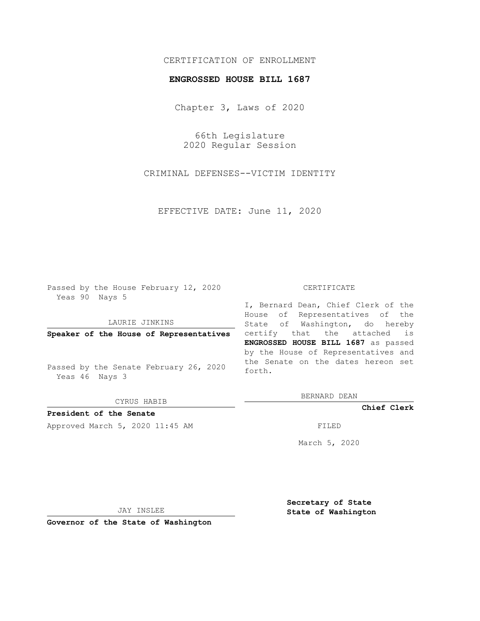# CERTIFICATION OF ENROLLMENT

## **ENGROSSED HOUSE BILL 1687**

Chapter 3, Laws of 2020

66th Legislature 2020 Regular Session

CRIMINAL DEFENSES--VICTIM IDENTITY

EFFECTIVE DATE: June 11, 2020

Passed by the House February 12, 2020 Yeas 90 Nays 5

### LAURIE JINKINS

**Speaker of the House of Representatives**

Passed by the Senate February 26, 2020 Yeas 46 Nays 3

CYRUS HABIB

**President of the Senate**

Approved March 5, 2020 11:45 AM FILED

#### CERTIFICATE

I, Bernard Dean, Chief Clerk of the House of Representatives of the State of Washington, do hereby certify that the attached is **ENGROSSED HOUSE BILL 1687** as passed by the House of Representatives and the Senate on the dates hereon set forth.

BERNARD DEAN

**Chief Clerk**

March 5, 2020

JAY INSLEE

**Governor of the State of Washington**

**Secretary of State State of Washington**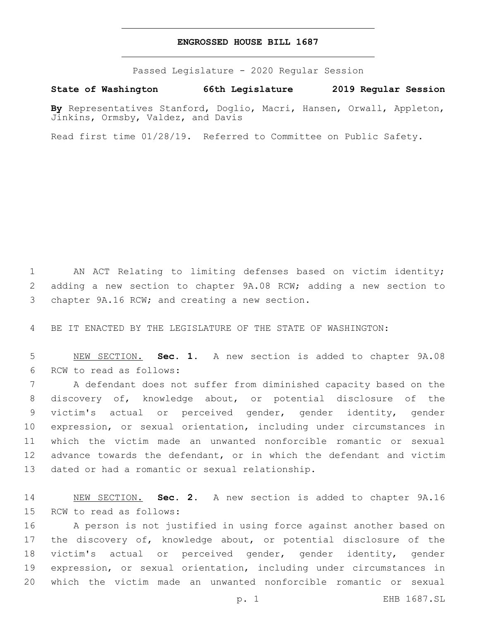## **ENGROSSED HOUSE BILL 1687**

Passed Legislature - 2020 Regular Session

**State of Washington 66th Legislature 2019 Regular Session**

**By** Representatives Stanford, Doglio, Macri, Hansen, Orwall, Appleton, Jinkins, Ormsby, Valdez, and Davis

Read first time 01/28/19. Referred to Committee on Public Safety.

1 AN ACT Relating to limiting defenses based on victim identity; 2 adding a new section to chapter 9A.08 RCW; adding a new section to 3 chapter 9A.16 RCW; and creating a new section.

4 BE IT ENACTED BY THE LEGISLATURE OF THE STATE OF WASHINGTON:

5 NEW SECTION. **Sec. 1.** A new section is added to chapter 9A.08 6 RCW to read as follows:

 A defendant does not suffer from diminished capacity based on the discovery of, knowledge about, or potential disclosure of the victim's actual or perceived gender, gender identity, gender expression, or sexual orientation, including under circumstances in which the victim made an unwanted nonforcible romantic or sexual advance towards the defendant, or in which the defendant and victim 13 dated or had a romantic or sexual relationship.

14 NEW SECTION. **Sec. 2.** A new section is added to chapter 9A.16 15 RCW to read as follows:

 A person is not justified in using force against another based on the discovery of, knowledge about, or potential disclosure of the victim's actual or perceived gender, gender identity, gender expression, or sexual orientation, including under circumstances in which the victim made an unwanted nonforcible romantic or sexual